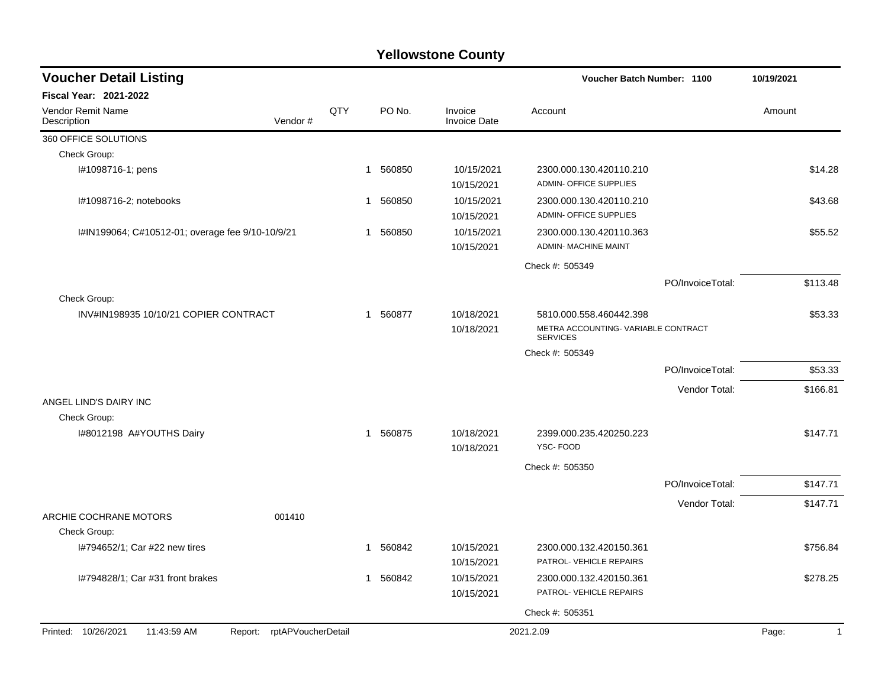| <b>Voucher Detail Listing</b>                         |                            |     |             |          |                                | Voucher Batch Number: 1100                                                                          |                  | 10/19/2021 |          |
|-------------------------------------------------------|----------------------------|-----|-------------|----------|--------------------------------|-----------------------------------------------------------------------------------------------------|------------------|------------|----------|
| <b>Fiscal Year: 2021-2022</b>                         |                            |     |             |          |                                |                                                                                                     |                  |            |          |
| <b>Vendor Remit Name</b><br>Description               | Vendor#                    | QTY |             | PO No.   | Invoice<br><b>Invoice Date</b> | Account                                                                                             |                  | Amount     |          |
| 360 OFFICE SOLUTIONS                                  |                            |     |             |          |                                |                                                                                                     |                  |            |          |
| Check Group:                                          |                            |     |             |          |                                |                                                                                                     |                  |            |          |
| I#1098716-1; pens                                     |                            |     |             | 1 560850 | 10/15/2021<br>10/15/2021       | 2300.000.130.420110.210<br>ADMIN- OFFICE SUPPLIES                                                   |                  |            | \$14.28  |
| I#1098716-2; notebooks                                |                            |     |             | 1 560850 | 10/15/2021<br>10/15/2021       | 2300.000.130.420110.210<br><b>ADMIN- OFFICE SUPPLIES</b>                                            |                  |            | \$43.68  |
| I#IN199064; C#10512-01; overage fee 9/10-10/9/21      |                            |     |             | 1 560850 | 10/15/2021<br>10/15/2021       | 2300.000.130.420110.363<br><b>ADMIN- MACHINE MAINT</b>                                              |                  |            | \$55.52  |
|                                                       |                            |     |             |          |                                | Check #: 505349                                                                                     |                  |            |          |
|                                                       |                            |     |             |          |                                |                                                                                                     | PO/InvoiceTotal: |            | \$113.48 |
| Check Group:<br>INV#IN198935 10/10/21 COPIER CONTRACT |                            |     | $\mathbf 1$ | 560877   | 10/18/2021<br>10/18/2021       | 5810.000.558.460442.398<br>METRA ACCOUNTING-VARIABLE CONTRACT<br><b>SERVICES</b><br>Check #: 505349 |                  |            | \$53.33  |
|                                                       |                            |     |             |          |                                |                                                                                                     | PO/InvoiceTotal: |            | \$53.33  |
|                                                       |                            |     |             |          |                                |                                                                                                     | Vendor Total:    |            | \$166.81 |
| ANGEL LIND'S DAIRY INC<br>Check Group:                |                            |     |             |          |                                |                                                                                                     |                  |            |          |
| I#8012198 A#YOUTHS Dairy                              |                            |     |             | 1 560875 | 10/18/2021<br>10/18/2021       | 2399.000.235.420250.223<br>YSC-FOOD                                                                 |                  |            | \$147.71 |
|                                                       |                            |     |             |          |                                | Check #: 505350                                                                                     |                  |            |          |
|                                                       |                            |     |             |          |                                |                                                                                                     | PO/InvoiceTotal: |            | \$147.71 |
| ARCHIE COCHRANE MOTORS                                | 001410                     |     |             |          |                                |                                                                                                     | Vendor Total:    |            | \$147.71 |
| Check Group:                                          |                            |     |             |          |                                |                                                                                                     |                  |            |          |
| I#794652/1; Car #22 new tires                         |                            |     |             | 1 560842 | 10/15/2021<br>10/15/2021       | 2300.000.132.420150.361<br>PATROL- VEHICLE REPAIRS                                                  |                  |            | \$756.84 |
| I#794828/1; Car #31 front brakes                      |                            |     |             | 1 560842 | 10/15/2021<br>10/15/2021       | 2300.000.132.420150.361<br>PATROL- VEHICLE REPAIRS                                                  |                  |            | \$278.25 |
|                                                       |                            |     |             |          |                                | Check #: 505351                                                                                     |                  |            |          |
| Printed: 10/26/2021<br>11:43:59 AM                    | Report: rptAPVoucherDetail |     |             |          |                                | 2021.2.09                                                                                           |                  | Page:      | 1        |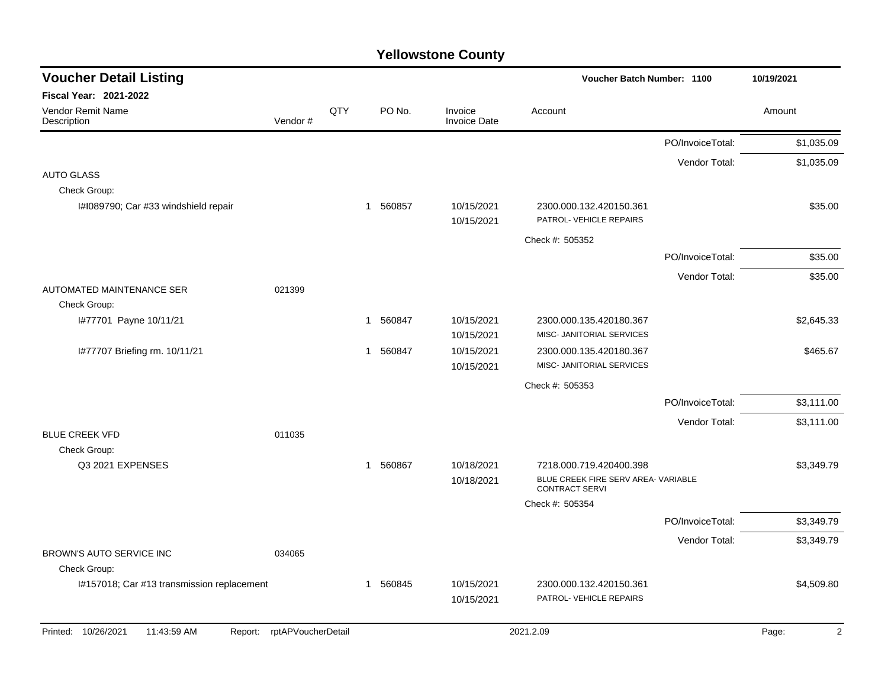| <b>Voucher Detail Listing</b>                 |                    |     |              |          |                                | Voucher Batch Number: 1100                                   |                  | 10/19/2021              |
|-----------------------------------------------|--------------------|-----|--------------|----------|--------------------------------|--------------------------------------------------------------|------------------|-------------------------|
| Fiscal Year: 2021-2022                        |                    |     |              |          |                                |                                                              |                  |                         |
| Vendor Remit Name<br>Description              | Vendor#            | QTY |              | PO No.   | Invoice<br><b>Invoice Date</b> | Account                                                      |                  | Amount                  |
|                                               |                    |     |              |          |                                |                                                              | PO/InvoiceTotal: | \$1,035.09              |
|                                               |                    |     |              |          |                                |                                                              | Vendor Total:    | \$1,035.09              |
| <b>AUTO GLASS</b>                             |                    |     |              |          |                                |                                                              |                  |                         |
| Check Group:                                  |                    |     |              |          |                                |                                                              |                  |                         |
| I#1089790; Car #33 windshield repair          |                    |     | $\mathbf{1}$ | 560857   | 10/15/2021<br>10/15/2021       | 2300.000.132.420150.361<br>PATROL- VEHICLE REPAIRS           |                  | \$35.00                 |
|                                               |                    |     |              |          |                                | Check #: 505352                                              |                  |                         |
|                                               |                    |     |              |          |                                |                                                              | PO/InvoiceTotal: | \$35.00                 |
|                                               |                    |     |              |          |                                |                                                              | Vendor Total:    | \$35.00                 |
| AUTOMATED MAINTENANCE SER                     | 021399             |     |              |          |                                |                                                              |                  |                         |
| Check Group:                                  |                    |     |              |          |                                |                                                              |                  |                         |
| I#77701 Payne 10/11/21                        |                    |     | -1           | 560847   | 10/15/2021<br>10/15/2021       | 2300.000.135.420180.367<br>MISC- JANITORIAL SERVICES         |                  | \$2,645.33              |
| I#77707 Briefing rm. 10/11/21                 |                    |     |              | 1 560847 | 10/15/2021                     | 2300.000.135.420180.367                                      |                  | \$465.67                |
|                                               |                    |     |              |          | 10/15/2021                     | MISC- JANITORIAL SERVICES                                    |                  |                         |
|                                               |                    |     |              |          |                                | Check #: 505353                                              |                  |                         |
|                                               |                    |     |              |          |                                |                                                              | PO/InvoiceTotal: | \$3,111.00              |
|                                               |                    |     |              |          |                                |                                                              | Vendor Total:    | \$3,111.00              |
| <b>BLUE CREEK VFD</b>                         | 011035             |     |              |          |                                |                                                              |                  |                         |
| Check Group:<br>Q3 2021 EXPENSES              |                    |     |              | 1 560867 | 10/18/2021                     | 7218.000.719.420400.398                                      |                  | \$3,349.79              |
|                                               |                    |     |              |          | 10/18/2021                     | BLUE CREEK FIRE SERV AREA- VARIABLE<br><b>CONTRACT SERVI</b> |                  |                         |
|                                               |                    |     |              |          |                                | Check #: 505354                                              |                  |                         |
|                                               |                    |     |              |          |                                |                                                              | PO/InvoiceTotal: | \$3,349.79              |
|                                               |                    |     |              |          |                                |                                                              | Vendor Total:    | \$3,349.79              |
| BROWN'S AUTO SERVICE INC                      | 034065             |     |              |          |                                |                                                              |                  |                         |
| Check Group:                                  |                    |     |              |          |                                |                                                              |                  |                         |
| I#157018; Car #13 transmission replacement    |                    |     | -1           | 560845   | 10/15/2021                     | 2300.000.132.420150.361<br>PATROL- VEHICLE REPAIRS           |                  | \$4,509.80              |
|                                               |                    |     |              |          | 10/15/2021                     |                                                              |                  |                         |
| Printed: 10/26/2021<br>11:43:59 AM<br>Report: | rptAPVoucherDetail |     |              |          |                                | 2021.2.09                                                    |                  | $\overline{2}$<br>Page: |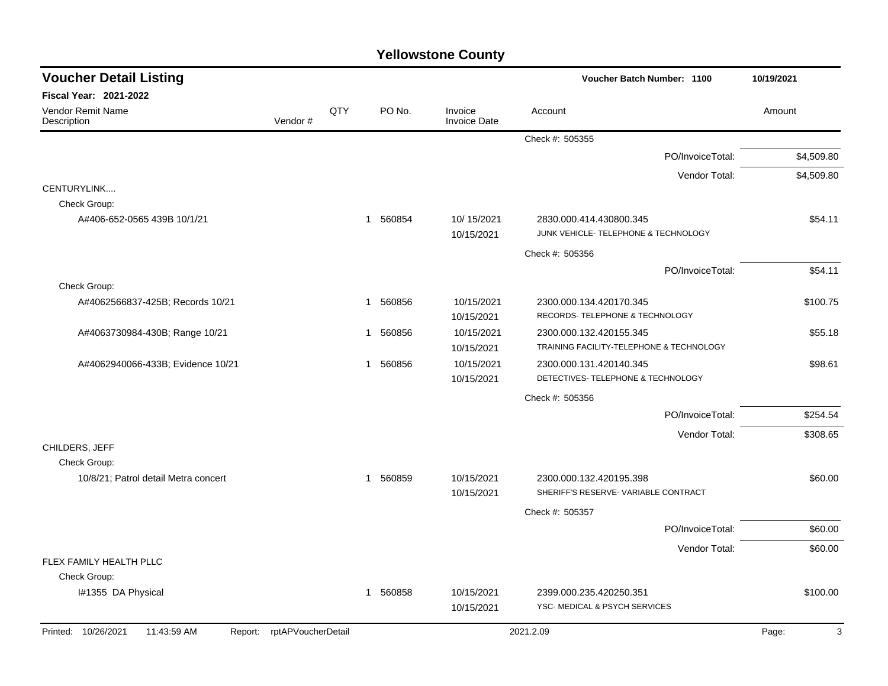| <b>Voucher Detail Listing</b>                                    |         |     |                        |                                | Voucher Batch Number: 1100                                          | 10/19/2021 |
|------------------------------------------------------------------|---------|-----|------------------------|--------------------------------|---------------------------------------------------------------------|------------|
| Fiscal Year: 2021-2022                                           |         |     |                        |                                |                                                                     |            |
| Vendor Remit Name<br>Description                                 | Vendor# | QTY | PO No.                 | Invoice<br><b>Invoice Date</b> | Account                                                             | Amount     |
|                                                                  |         |     |                        |                                | Check #: 505355                                                     |            |
|                                                                  |         |     |                        |                                | PO/InvoiceTotal:                                                    | \$4,509.80 |
|                                                                  |         |     |                        |                                | Vendor Total:                                                       | \$4,509.80 |
| CENTURYLINK                                                      |         |     |                        |                                |                                                                     |            |
| Check Group:                                                     |         |     |                        |                                |                                                                     |            |
| A#406-652-0565 439B 10/1/21                                      |         |     | 560854<br>$\mathbf{1}$ | 10/15/2021<br>10/15/2021       | 2830.000.414.430800.345<br>JUNK VEHICLE- TELEPHONE & TECHNOLOGY     | \$54.11    |
|                                                                  |         |     |                        |                                | Check #: 505356                                                     |            |
|                                                                  |         |     |                        |                                | PO/InvoiceTotal:                                                    | \$54.11    |
| Check Group:                                                     |         |     |                        |                                |                                                                     |            |
| A#4062566837-425B; Records 10/21                                 |         |     | 560856<br>$\mathbf{1}$ | 10/15/2021<br>10/15/2021       | 2300.000.134.420170.345<br>RECORDS- TELEPHONE & TECHNOLOGY          | \$100.75   |
| A#4063730984-430B; Range 10/21                                   |         |     | 560856<br>$\mathbf{1}$ | 10/15/2021<br>10/15/2021       | 2300.000.132.420155.345<br>TRAINING FACILITY-TELEPHONE & TECHNOLOGY | \$55.18    |
| A#4062940066-433B; Evidence 10/21                                |         |     | 560856<br>$\mathbf{1}$ | 10/15/2021<br>10/15/2021       | 2300.000.131.420140.345<br>DETECTIVES- TELEPHONE & TECHNOLOGY       | \$98.61    |
|                                                                  |         |     |                        |                                | Check #: 505356                                                     |            |
|                                                                  |         |     |                        |                                | PO/InvoiceTotal:                                                    | \$254.54   |
|                                                                  |         |     |                        |                                | Vendor Total:                                                       | \$308.65   |
| CHILDERS, JEFF                                                   |         |     |                        |                                |                                                                     |            |
| Check Group:                                                     |         |     |                        |                                |                                                                     |            |
| 10/8/21; Patrol detail Metra concert                             |         |     | 560859<br>$\mathbf{1}$ | 10/15/2021                     | 2300.000.132.420195.398                                             | \$60.00    |
|                                                                  |         |     |                        | 10/15/2021                     | SHERIFF'S RESERVE- VARIABLE CONTRACT                                |            |
|                                                                  |         |     |                        |                                | Check #: 505357                                                     |            |
|                                                                  |         |     |                        |                                | PO/InvoiceTotal:                                                    | \$60.00    |
|                                                                  |         |     |                        |                                | Vendor Total:                                                       | \$60.00    |
| FLEX FAMILY HEALTH PLLC                                          |         |     |                        |                                |                                                                     |            |
| Check Group:                                                     |         |     |                        |                                |                                                                     |            |
| I#1355 DA Physical                                               |         |     | 560858<br>$\mathbf{1}$ | 10/15/2021<br>10/15/2021       | 2399.000.235.420250.351<br>YSC- MEDICAL & PSYCH SERVICES            | \$100.00   |
| Printed: 10/26/2021<br>11:43:59 AM<br>Report: rptAPVoucherDetail |         |     |                        |                                | 2021.2.09                                                           | 3<br>Page: |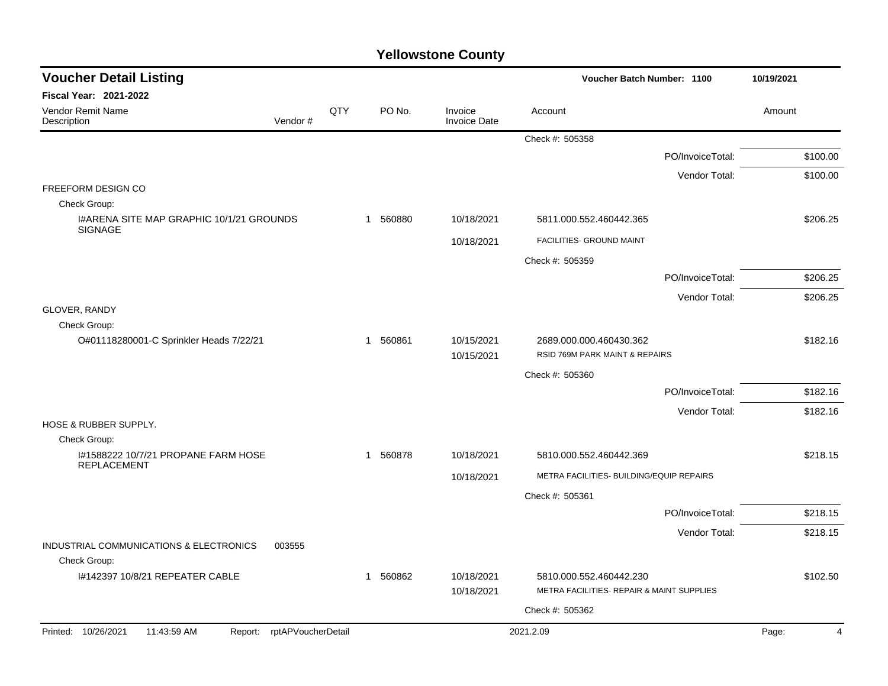| <b>Voucher Detail Listing</b>                                     |     | Voucher Batch Number: 1100 |                                |                                                           |                  | 10/19/2021 |
|-------------------------------------------------------------------|-----|----------------------------|--------------------------------|-----------------------------------------------------------|------------------|------------|
| <b>Fiscal Year: 2021-2022</b>                                     |     |                            |                                |                                                           |                  |            |
| <b>Vendor Remit Name</b><br>Vendor#<br>Description                | QTY | PO No.                     | Invoice<br><b>Invoice Date</b> | Account                                                   |                  | Amount     |
|                                                                   |     |                            |                                | Check #: 505358                                           |                  |            |
|                                                                   |     |                            |                                |                                                           | PO/InvoiceTotal: | \$100.00   |
|                                                                   |     |                            |                                |                                                           | Vendor Total:    | \$100.00   |
| FREEFORM DESIGN CO                                                |     |                            |                                |                                                           |                  |            |
| Check Group:<br>I#ARENA SITE MAP GRAPHIC 10/1/21 GROUNDS          |     | 560880<br>$\mathbf{1}$     | 10/18/2021                     | 5811.000.552.460442.365                                   |                  | \$206.25   |
| <b>SIGNAGE</b>                                                    |     |                            |                                | FACILITIES- GROUND MAINT                                  |                  |            |
|                                                                   |     |                            | 10/18/2021                     |                                                           |                  |            |
|                                                                   |     |                            |                                | Check #: 505359                                           | PO/InvoiceTotal: | \$206.25   |
|                                                                   |     |                            |                                |                                                           | Vendor Total:    | \$206.25   |
| GLOVER, RANDY                                                     |     |                            |                                |                                                           |                  |            |
| Check Group:                                                      |     |                            |                                |                                                           |                  |            |
| O#01118280001-C Sprinkler Heads 7/22/21                           |     | 560861<br>1                | 10/15/2021<br>10/15/2021       | 2689.000.000.460430.362<br>RSID 769M PARK MAINT & REPAIRS |                  | \$182.16   |
|                                                                   |     |                            |                                | Check #: 505360                                           |                  |            |
|                                                                   |     |                            |                                |                                                           | PO/InvoiceTotal: | \$182.16   |
|                                                                   |     |                            |                                |                                                           | Vendor Total:    | \$182.16   |
| HOSE & RUBBER SUPPLY.                                             |     |                            |                                |                                                           |                  |            |
| Check Group:<br>1#1588222 10/7/21 PROPANE FARM HOSE               |     | 1 560878                   | 10/18/2021                     | 5810.000.552.460442.369                                   |                  | \$218.15   |
| <b>REPLACEMENT</b>                                                |     |                            |                                |                                                           |                  |            |
|                                                                   |     |                            | 10/18/2021                     | METRA FACILITIES- BUILDING/EQUIP REPAIRS                  |                  |            |
|                                                                   |     |                            |                                | Check #: 505361                                           |                  |            |
|                                                                   |     |                            |                                |                                                           | PO/InvoiceTotal: | \$218.15   |
| INDUSTRIAL COMMUNICATIONS & ELECTRONICS<br>003555<br>Check Group: |     |                            |                                |                                                           | Vendor Total:    | \$218.15   |
| I#142397 10/8/21 REPEATER CABLE                                   |     | 560862<br>$\mathbf{1}$     | 10/18/2021                     | 5810.000.552.460442.230                                   |                  | \$102.50   |
|                                                                   |     |                            | 10/18/2021                     | METRA FACILITIES- REPAIR & MAINT SUPPLIES                 |                  |            |
|                                                                   |     |                            |                                | Check #: 505362                                           |                  |            |
| Printed: 10/26/2021<br>11:43:59 AM<br>Report: rptAPVoucherDetail  |     |                            |                                | 2021.2.09                                                 |                  | Page:<br>4 |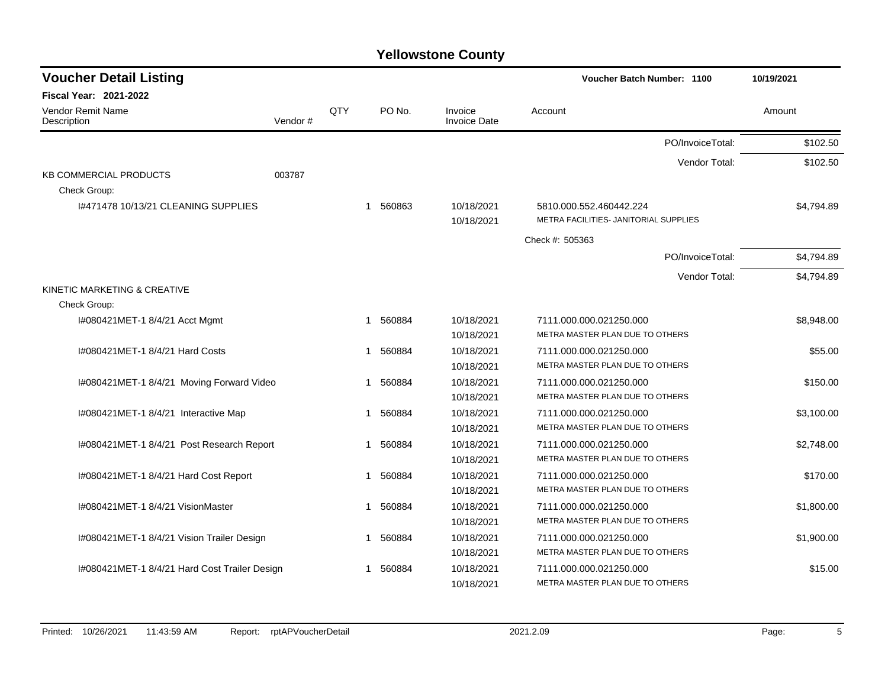| <b>Voucher Detail Listing</b>                 |         |     |                       |                                | <b>Voucher Batch Number: 1100</b>                                | 10/19/2021 |  |
|-----------------------------------------------|---------|-----|-----------------------|--------------------------------|------------------------------------------------------------------|------------|--|
| Fiscal Year: 2021-2022                        |         |     |                       |                                |                                                                  |            |  |
| <b>Vendor Remit Name</b><br>Description       | Vendor# | QTY | PO No.                | Invoice<br><b>Invoice Date</b> | Account                                                          | Amount     |  |
|                                               |         |     |                       |                                | PO/InvoiceTotal:                                                 | \$102.50   |  |
|                                               |         |     |                       |                                | Vendor Total:                                                    | \$102.50   |  |
| <b>KB COMMERCIAL PRODUCTS</b><br>Check Group: | 003787  |     |                       |                                |                                                                  |            |  |
| 1#471478 10/13/21 CLEANING SUPPLIES           |         |     | 1 560863              | 10/18/2021<br>10/18/2021       | 5810.000.552.460442.224<br>METRA FACILITIES- JANITORIAL SUPPLIES | \$4,794.89 |  |
|                                               |         |     |                       |                                | Check #: 505363                                                  |            |  |
|                                               |         |     |                       |                                | PO/InvoiceTotal:                                                 | \$4,794.89 |  |
|                                               |         |     |                       |                                | Vendor Total:                                                    | \$4,794.89 |  |
| KINETIC MARKETING & CREATIVE<br>Check Group:  |         |     |                       |                                |                                                                  |            |  |
| I#080421MET-1 8/4/21 Acct Mgmt                |         |     | 1 560884              | 10/18/2021<br>10/18/2021       | 7111.000.000.021250.000<br>METRA MASTER PLAN DUE TO OTHERS       | \$8,948.00 |  |
| I#080421MET-1 8/4/21 Hard Costs               |         |     | 560884<br>$\mathbf 1$ | 10/18/2021<br>10/18/2021       | 7111.000.000.021250.000<br>METRA MASTER PLAN DUE TO OTHERS       | \$55.00    |  |
| I#080421MET-1 8/4/21 Moving Forward Video     |         |     | 560884<br>1           | 10/18/2021<br>10/18/2021       | 7111.000.000.021250.000<br>METRA MASTER PLAN DUE TO OTHERS       | \$150.00   |  |
| I#080421MET-1 8/4/21 Interactive Map          |         |     | 560884<br>$\mathbf 1$ | 10/18/2021<br>10/18/2021       | 7111.000.000.021250.000<br>METRA MASTER PLAN DUE TO OTHERS       | \$3,100.00 |  |
| I#080421MET-1 8/4/21 Post Research Report     |         |     | 560884<br>$\mathbf 1$ | 10/18/2021<br>10/18/2021       | 7111.000.000.021250.000<br>METRA MASTER PLAN DUE TO OTHERS       | \$2,748.00 |  |
| I#080421MET-1 8/4/21 Hard Cost Report         |         |     | 560884<br>1           | 10/18/2021<br>10/18/2021       | 7111.000.000.021250.000<br>METRA MASTER PLAN DUE TO OTHERS       | \$170.00   |  |
| I#080421MET-1 8/4/21 VisionMaster             |         |     | 560884<br>1           | 10/18/2021<br>10/18/2021       | 7111.000.000.021250.000<br>METRA MASTER PLAN DUE TO OTHERS       | \$1,800.00 |  |
| I#080421MET-1 8/4/21 Vision Trailer Design    |         |     | 560884<br>1           | 10/18/2021<br>10/18/2021       | 7111.000.000.021250.000<br>METRA MASTER PLAN DUE TO OTHERS       | \$1,900.00 |  |
| I#080421MET-1 8/4/21 Hard Cost Trailer Design |         |     | 560884                | 10/18/2021<br>10/18/2021       | 7111.000.000.021250.000<br>METRA MASTER PLAN DUE TO OTHERS       | \$15.00    |  |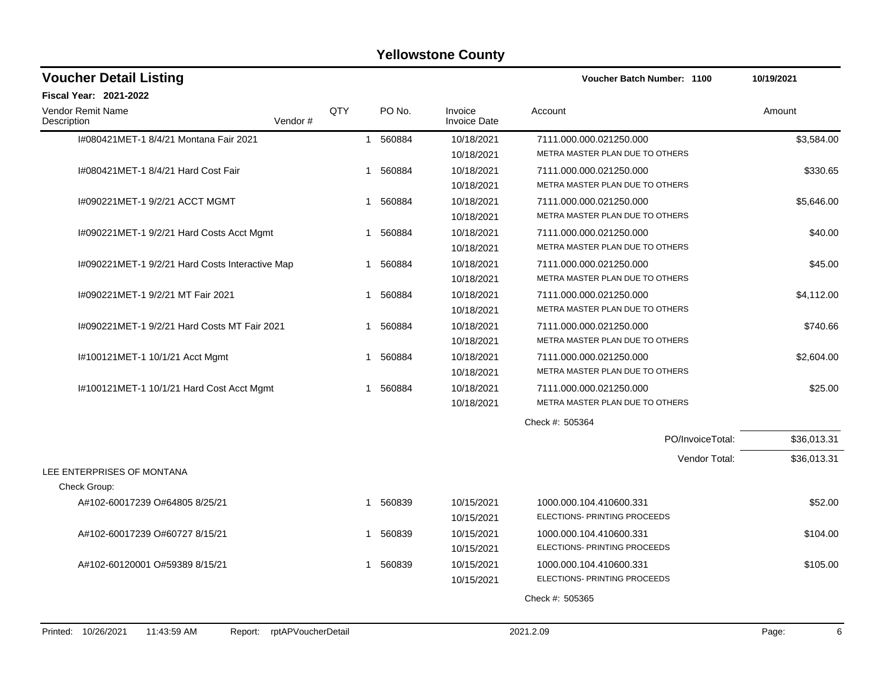| <b>Voucher Detail Listing</b>                   |                    |     |          |                                | Voucher Batch Number: 1100      | 10/19/2021  |
|-------------------------------------------------|--------------------|-----|----------|--------------------------------|---------------------------------|-------------|
| <b>Fiscal Year: 2021-2022</b>                   |                    |     |          |                                |                                 |             |
| <b>Vendor Remit Name</b><br>Description         | Vendor#            | QTY | PO No.   | Invoice<br><b>Invoice Date</b> | Account                         | Amount      |
| I#080421MET-1 8/4/21 Montana Fair 2021          |                    |     | 1 560884 | 10/18/2021                     | 7111.000.000.021250.000         | \$3,584.00  |
|                                                 |                    |     |          | 10/18/2021                     | METRA MASTER PLAN DUE TO OTHERS |             |
| I#080421MET-1 8/4/21 Hard Cost Fair             |                    |     | 560884   | 10/18/2021                     | 7111.000.000.021250.000         | \$330.65    |
|                                                 |                    |     |          | 10/18/2021                     | METRA MASTER PLAN DUE TO OTHERS |             |
| I#090221MET-1 9/2/21 ACCT MGMT                  |                    | 1   | 560884   | 10/18/2021                     | 7111.000.000.021250.000         | \$5,646.00  |
|                                                 |                    |     |          | 10/18/2021                     | METRA MASTER PLAN DUE TO OTHERS |             |
| I#090221MET-1 9/2/21 Hard Costs Acct Mgmt       |                    | 1   | 560884   | 10/18/2021                     | 7111.000.000.021250.000         | \$40.00     |
|                                                 |                    |     |          | 10/18/2021                     | METRA MASTER PLAN DUE TO OTHERS |             |
| I#090221MET-1 9/2/21 Hard Costs Interactive Map |                    | -1  | 560884   | 10/18/2021                     | 7111.000.000.021250.000         | \$45.00     |
|                                                 |                    |     |          | 10/18/2021                     | METRA MASTER PLAN DUE TO OTHERS |             |
| I#090221MET-1 9/2/21 MT Fair 2021               |                    | 1   | 560884   | 10/18/2021                     | 7111.000.000.021250.000         | \$4,112.00  |
|                                                 |                    |     |          | 10/18/2021                     | METRA MASTER PLAN DUE TO OTHERS |             |
| I#090221MET-1 9/2/21 Hard Costs MT Fair 2021    |                    |     | 560884   | 10/18/2021                     | 7111.000.000.021250.000         | \$740.66    |
|                                                 |                    |     |          | 10/18/2021                     | METRA MASTER PLAN DUE TO OTHERS |             |
| I#100121MET-1 10/1/21 Acct Mgmt                 |                    | -1  | 560884   | 10/18/2021                     | 7111.000.000.021250.000         | \$2,604.00  |
|                                                 |                    |     |          | 10/18/2021                     | METRA MASTER PLAN DUE TO OTHERS |             |
| I#100121MET-1 10/1/21 Hard Cost Acct Mgmt       |                    | 1   | 560884   | 10/18/2021                     | 7111.000.000.021250.000         | \$25.00     |
|                                                 |                    |     |          | 10/18/2021                     | METRA MASTER PLAN DUE TO OTHERS |             |
|                                                 |                    |     |          |                                | Check #: 505364                 |             |
|                                                 |                    |     |          |                                | PO/InvoiceTotal:                | \$36,013.31 |
|                                                 |                    |     |          |                                | Vendor Total:                   | \$36,013.31 |
| LEE ENTERPRISES OF MONTANA                      |                    |     |          |                                |                                 |             |
| Check Group:                                    |                    |     |          |                                |                                 |             |
| A#102-60017239 O#64805 8/25/21                  |                    | 1   | 560839   | 10/15/2021                     | 1000.000.104.410600.331         | \$52.00     |
|                                                 |                    |     |          | 10/15/2021                     | ELECTIONS- PRINTING PROCEEDS    |             |
| A#102-60017239 O#60727 8/15/21                  |                    |     | 1 560839 | 10/15/2021                     | 1000.000.104.410600.331         | \$104.00    |
|                                                 |                    |     |          | 10/15/2021                     | ELECTIONS- PRINTING PROCEEDS    |             |
| A#102-60120001 O#59389 8/15/21                  |                    |     | 1 560839 | 10/15/2021                     | 1000.000.104.410600.331         | \$105.00    |
|                                                 |                    |     |          | 10/15/2021                     | ELECTIONS- PRINTING PROCEEDS    |             |
|                                                 |                    |     |          |                                | Check #: 505365                 |             |
|                                                 |                    |     |          |                                |                                 |             |
| Printed: 10/26/2021<br>11:43:59 AM<br>Report:   | rptAPVoucherDetail |     |          |                                | 2021.2.09                       | 6<br>Page:  |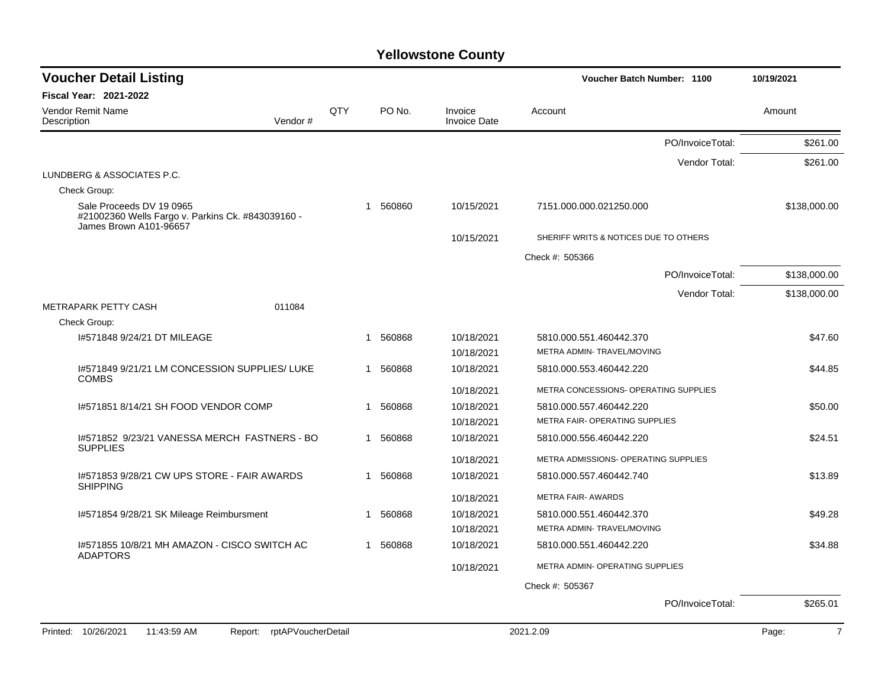| <b>Voucher Detail Listing</b>                                                                           |     |              |          |                                | Voucher Batch Number: 1100            |               | 10/19/2021              |
|---------------------------------------------------------------------------------------------------------|-----|--------------|----------|--------------------------------|---------------------------------------|---------------|-------------------------|
| Fiscal Year: 2021-2022                                                                                  |     |              |          |                                |                                       |               |                         |
| Vendor Remit Name<br>Vendor#<br>Description                                                             | QTY |              | PO No.   | Invoice<br><b>Invoice Date</b> | Account                               |               | Amount                  |
|                                                                                                         |     |              |          |                                | PO/InvoiceTotal:                      |               | \$261.00                |
|                                                                                                         |     |              |          |                                |                                       | Vendor Total: | \$261.00                |
| LUNDBERG & ASSOCIATES P.C.                                                                              |     |              |          |                                |                                       |               |                         |
| Check Group:                                                                                            |     |              |          |                                |                                       |               |                         |
| Sale Proceeds DV 19 0965<br>#21002360 Wells Fargo v. Parkins Ck. #843039160 -<br>James Brown A101-96657 |     |              | 1 560860 | 10/15/2021                     | 7151.000.000.021250.000               |               | \$138,000.00            |
|                                                                                                         |     |              |          | 10/15/2021                     | SHERIFF WRITS & NOTICES DUE TO OTHERS |               |                         |
|                                                                                                         |     |              |          |                                | Check #: 505366                       |               |                         |
|                                                                                                         |     |              |          |                                | PO/InvoiceTotal:                      |               | \$138,000.00            |
|                                                                                                         |     |              |          |                                |                                       | Vendor Total: | \$138,000.00            |
| METRAPARK PETTY CASH<br>011084                                                                          |     |              |          |                                |                                       |               |                         |
| Check Group:                                                                                            |     |              |          |                                |                                       |               |                         |
| 1#571848 9/24/21 DT MILEAGE                                                                             |     | $\mathbf{1}$ | 560868   | 10/18/2021                     | 5810.000.551.460442.370               |               | \$47.60                 |
|                                                                                                         |     |              |          | 10/18/2021                     | METRA ADMIN- TRAVEL/MOVING            |               |                         |
| 1#571849 9/21/21 LM CONCESSION SUPPLIES/ LUKE<br><b>COMBS</b>                                           |     | 1            | 560868   | 10/18/2021                     | 5810.000.553.460442.220               |               | \$44.85                 |
|                                                                                                         |     |              |          | 10/18/2021                     | METRA CONCESSIONS- OPERATING SUPPLIES |               |                         |
| 1#571851 8/14/21 SH FOOD VENDOR COMP                                                                    |     | $\mathbf 1$  | 560868   | 10/18/2021                     | 5810.000.557.460442.220               |               | \$50.00                 |
|                                                                                                         |     |              |          | 10/18/2021                     | METRA FAIR- OPERATING SUPPLIES        |               |                         |
| I#571852 9/23/21 VANESSA MERCH FASTNERS - BO<br><b>SUPPLIES</b>                                         |     |              | 1 560868 | 10/18/2021                     | 5810.000.556.460442.220               |               | \$24.51                 |
|                                                                                                         |     |              |          | 10/18/2021                     | METRA ADMISSIONS- OPERATING SUPPLIES  |               |                         |
| 1#571853 9/28/21 CW UPS STORE - FAIR AWARDS<br><b>SHIPPING</b>                                          |     | $\mathbf 1$  | 560868   | 10/18/2021                     | 5810.000.557.460442.740               |               | \$13.89                 |
|                                                                                                         |     |              |          | 10/18/2021                     | <b>METRA FAIR- AWARDS</b>             |               |                         |
| I#571854 9/28/21 SK Mileage Reimbursment                                                                |     | 1            | 560868   | 10/18/2021                     | 5810.000.551.460442.370               |               | \$49.28                 |
|                                                                                                         |     |              |          | 10/18/2021                     | METRA ADMIN-TRAVEL/MOVING             |               |                         |
| 1#571855 10/8/21 MH AMAZON - CISCO SWITCH AC<br><b>ADAPTORS</b>                                         |     | 1            | 560868   | 10/18/2021                     | 5810.000.551.460442.220               |               | \$34.88                 |
|                                                                                                         |     |              |          | 10/18/2021                     | METRA ADMIN- OPERATING SUPPLIES       |               |                         |
|                                                                                                         |     |              |          |                                | Check #: 505367                       |               |                         |
|                                                                                                         |     |              |          |                                | PO/InvoiceTotal:                      |               | \$265.01                |
|                                                                                                         |     |              |          |                                |                                       |               |                         |
| rptAPVoucherDetail<br>Printed: 10/26/2021<br>11:43:59 AM<br>Report:                                     |     |              |          |                                | 2021.2.09                             |               | $\overline{7}$<br>Page: |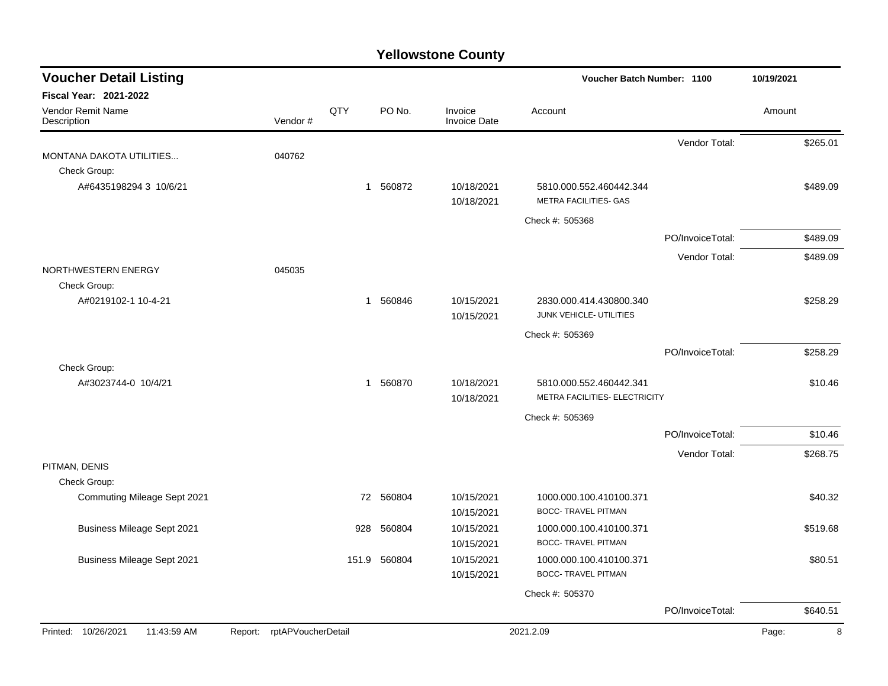| Fiscal Year: 2021-2022<br>QTY<br>PO No.<br>Vendor Remit Name<br>Amount<br>Invoice<br>Account<br>Vendor#<br>Description<br><b>Invoice Date</b><br>Vendor Total:<br>\$265.01<br>040762<br>MONTANA DAKOTA UTILITIES<br>Check Group:<br>\$489.09<br>A#6435198294 3 10/6/21<br>1 560872<br>10/18/2021<br>5810.000.552.460442.344<br><b>METRA FACILITIES- GAS</b><br>10/18/2021<br>Check #: 505368<br>\$489.09<br>PO/InvoiceTotal:<br>Vendor Total:<br>\$489.09<br>NORTHWESTERN ENERGY<br>045035<br>Check Group:<br>A#0219102-1 10-4-21<br>560846<br>10/15/2021<br>\$258.29<br>2830.000.414.430800.340<br>1<br>JUNK VEHICLE- UTILITIES<br>10/15/2021<br>Check #: 505369<br>PO/InvoiceTotal:<br>\$258.29<br>Check Group:<br>1 560870<br>10/18/2021<br>A#3023744-0 10/4/21<br>5810.000.552.460442.341<br>\$10.46<br>METRA FACILITIES- ELECTRICITY<br>10/18/2021<br>Check #: 505369<br>PO/InvoiceTotal:<br>\$10.46<br>Vendor Total:<br>\$268.75<br>PITMAN, DENIS<br>Check Group:<br>Commuting Mileage Sept 2021<br>72<br>560804<br>10/15/2021<br>1000.000.100.410100.371<br>\$40.32<br><b>BOCC- TRAVEL PITMAN</b><br>10/15/2021<br><b>Business Mileage Sept 2021</b><br>\$519.68<br>928<br>560804<br>10/15/2021<br>1000.000.100.410100.371<br><b>BOCC- TRAVEL PITMAN</b><br>10/15/2021<br><b>Business Mileage Sept 2021</b><br>151.9<br>560804<br>10/15/2021<br>1000.000.100.410100.371<br>\$80.51<br><b>BOCC- TRAVEL PITMAN</b><br>10/15/2021 | <b>Voucher Detail Listing</b> |  |  | Voucher Batch Number: 1100 | 10/19/2021 |
|---------------------------------------------------------------------------------------------------------------------------------------------------------------------------------------------------------------------------------------------------------------------------------------------------------------------------------------------------------------------------------------------------------------------------------------------------------------------------------------------------------------------------------------------------------------------------------------------------------------------------------------------------------------------------------------------------------------------------------------------------------------------------------------------------------------------------------------------------------------------------------------------------------------------------------------------------------------------------------------------------------------------------------------------------------------------------------------------------------------------------------------------------------------------------------------------------------------------------------------------------------------------------------------------------------------------------------------------------------------------------------------------------------------------------------------|-------------------------------|--|--|----------------------------|------------|
|                                                                                                                                                                                                                                                                                                                                                                                                                                                                                                                                                                                                                                                                                                                                                                                                                                                                                                                                                                                                                                                                                                                                                                                                                                                                                                                                                                                                                                       |                               |  |  |                            |            |
|                                                                                                                                                                                                                                                                                                                                                                                                                                                                                                                                                                                                                                                                                                                                                                                                                                                                                                                                                                                                                                                                                                                                                                                                                                                                                                                                                                                                                                       |                               |  |  |                            |            |
|                                                                                                                                                                                                                                                                                                                                                                                                                                                                                                                                                                                                                                                                                                                                                                                                                                                                                                                                                                                                                                                                                                                                                                                                                                                                                                                                                                                                                                       |                               |  |  |                            |            |
|                                                                                                                                                                                                                                                                                                                                                                                                                                                                                                                                                                                                                                                                                                                                                                                                                                                                                                                                                                                                                                                                                                                                                                                                                                                                                                                                                                                                                                       |                               |  |  |                            |            |
|                                                                                                                                                                                                                                                                                                                                                                                                                                                                                                                                                                                                                                                                                                                                                                                                                                                                                                                                                                                                                                                                                                                                                                                                                                                                                                                                                                                                                                       |                               |  |  |                            |            |
|                                                                                                                                                                                                                                                                                                                                                                                                                                                                                                                                                                                                                                                                                                                                                                                                                                                                                                                                                                                                                                                                                                                                                                                                                                                                                                                                                                                                                                       |                               |  |  |                            |            |
|                                                                                                                                                                                                                                                                                                                                                                                                                                                                                                                                                                                                                                                                                                                                                                                                                                                                                                                                                                                                                                                                                                                                                                                                                                                                                                                                                                                                                                       |                               |  |  |                            |            |
|                                                                                                                                                                                                                                                                                                                                                                                                                                                                                                                                                                                                                                                                                                                                                                                                                                                                                                                                                                                                                                                                                                                                                                                                                                                                                                                                                                                                                                       |                               |  |  |                            |            |
|                                                                                                                                                                                                                                                                                                                                                                                                                                                                                                                                                                                                                                                                                                                                                                                                                                                                                                                                                                                                                                                                                                                                                                                                                                                                                                                                                                                                                                       |                               |  |  |                            |            |
|                                                                                                                                                                                                                                                                                                                                                                                                                                                                                                                                                                                                                                                                                                                                                                                                                                                                                                                                                                                                                                                                                                                                                                                                                                                                                                                                                                                                                                       |                               |  |  |                            |            |
|                                                                                                                                                                                                                                                                                                                                                                                                                                                                                                                                                                                                                                                                                                                                                                                                                                                                                                                                                                                                                                                                                                                                                                                                                                                                                                                                                                                                                                       |                               |  |  |                            |            |
|                                                                                                                                                                                                                                                                                                                                                                                                                                                                                                                                                                                                                                                                                                                                                                                                                                                                                                                                                                                                                                                                                                                                                                                                                                                                                                                                                                                                                                       |                               |  |  |                            |            |
|                                                                                                                                                                                                                                                                                                                                                                                                                                                                                                                                                                                                                                                                                                                                                                                                                                                                                                                                                                                                                                                                                                                                                                                                                                                                                                                                                                                                                                       |                               |  |  |                            |            |
|                                                                                                                                                                                                                                                                                                                                                                                                                                                                                                                                                                                                                                                                                                                                                                                                                                                                                                                                                                                                                                                                                                                                                                                                                                                                                                                                                                                                                                       |                               |  |  |                            |            |
|                                                                                                                                                                                                                                                                                                                                                                                                                                                                                                                                                                                                                                                                                                                                                                                                                                                                                                                                                                                                                                                                                                                                                                                                                                                                                                                                                                                                                                       |                               |  |  |                            |            |
|                                                                                                                                                                                                                                                                                                                                                                                                                                                                                                                                                                                                                                                                                                                                                                                                                                                                                                                                                                                                                                                                                                                                                                                                                                                                                                                                                                                                                                       |                               |  |  |                            |            |
|                                                                                                                                                                                                                                                                                                                                                                                                                                                                                                                                                                                                                                                                                                                                                                                                                                                                                                                                                                                                                                                                                                                                                                                                                                                                                                                                                                                                                                       |                               |  |  |                            |            |
|                                                                                                                                                                                                                                                                                                                                                                                                                                                                                                                                                                                                                                                                                                                                                                                                                                                                                                                                                                                                                                                                                                                                                                                                                                                                                                                                                                                                                                       |                               |  |  |                            |            |
|                                                                                                                                                                                                                                                                                                                                                                                                                                                                                                                                                                                                                                                                                                                                                                                                                                                                                                                                                                                                                                                                                                                                                                                                                                                                                                                                                                                                                                       |                               |  |  |                            |            |
|                                                                                                                                                                                                                                                                                                                                                                                                                                                                                                                                                                                                                                                                                                                                                                                                                                                                                                                                                                                                                                                                                                                                                                                                                                                                                                                                                                                                                                       |                               |  |  |                            |            |
|                                                                                                                                                                                                                                                                                                                                                                                                                                                                                                                                                                                                                                                                                                                                                                                                                                                                                                                                                                                                                                                                                                                                                                                                                                                                                                                                                                                                                                       |                               |  |  |                            |            |
|                                                                                                                                                                                                                                                                                                                                                                                                                                                                                                                                                                                                                                                                                                                                                                                                                                                                                                                                                                                                                                                                                                                                                                                                                                                                                                                                                                                                                                       |                               |  |  |                            |            |
|                                                                                                                                                                                                                                                                                                                                                                                                                                                                                                                                                                                                                                                                                                                                                                                                                                                                                                                                                                                                                                                                                                                                                                                                                                                                                                                                                                                                                                       |                               |  |  | Check #: 505370            |            |
| PO/InvoiceTotal:<br>\$640.51                                                                                                                                                                                                                                                                                                                                                                                                                                                                                                                                                                                                                                                                                                                                                                                                                                                                                                                                                                                                                                                                                                                                                                                                                                                                                                                                                                                                          |                               |  |  |                            |            |
| Printed: 10/26/2021<br>11:43:59 AM<br>Report: rptAPVoucherDetail<br>2021.2.09<br>Page:                                                                                                                                                                                                                                                                                                                                                                                                                                                                                                                                                                                                                                                                                                                                                                                                                                                                                                                                                                                                                                                                                                                                                                                                                                                                                                                                                |                               |  |  |                            | 8          |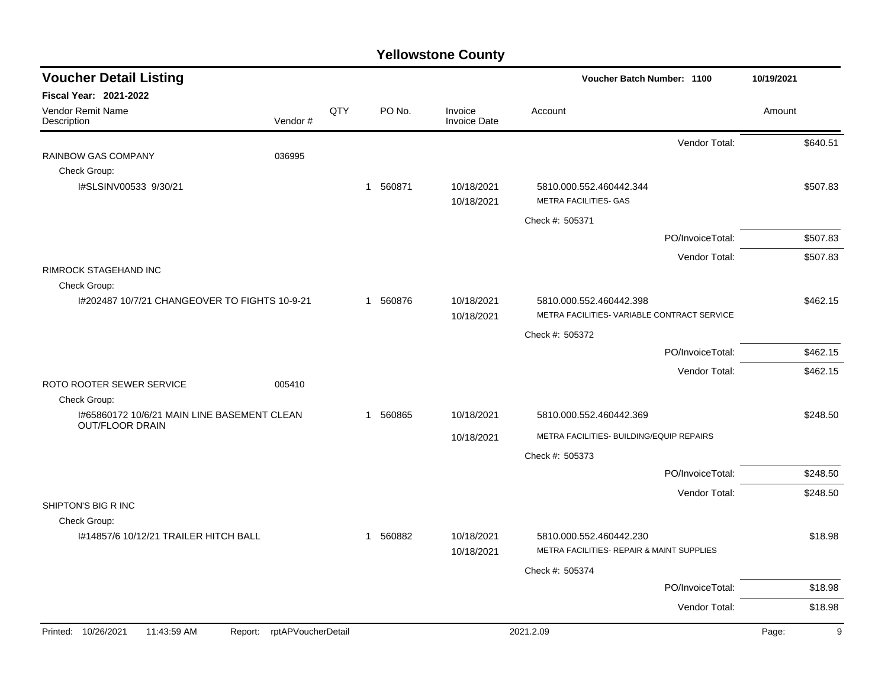| <b>Voucher Detail Listing</b>                 |                    |     |                       |                                | Voucher Batch Number: 1100                                             |                  | 10/19/2021 |
|-----------------------------------------------|--------------------|-----|-----------------------|--------------------------------|------------------------------------------------------------------------|------------------|------------|
| Fiscal Year: 2021-2022                        |                    |     |                       |                                |                                                                        |                  |            |
| Vendor Remit Name<br>Description              | Vendor#            | QTY | PO No.                | Invoice<br><b>Invoice Date</b> | Account                                                                |                  | Amount     |
|                                               |                    |     |                       |                                |                                                                        | Vendor Total:    | \$640.51   |
| RAINBOW GAS COMPANY                           | 036995             |     |                       |                                |                                                                        |                  |            |
| Check Group:                                  |                    |     |                       |                                |                                                                        |                  |            |
| I#SLSINV00533 9/30/21                         |                    |     | 1 560871              | 10/18/2021<br>10/18/2021       | 5810.000.552.460442.344<br><b>METRA FACILITIES- GAS</b>                |                  | \$507.83   |
|                                               |                    |     |                       |                                | Check #: 505371                                                        |                  |            |
|                                               |                    |     |                       |                                |                                                                        | PO/InvoiceTotal: | \$507.83   |
|                                               |                    |     |                       |                                |                                                                        | Vendor Total:    | \$507.83   |
| <b>RIMROCK STAGEHAND INC</b>                  |                    |     |                       |                                |                                                                        |                  |            |
| Check Group:                                  |                    |     |                       |                                |                                                                        |                  |            |
| I#202487 10/7/21 CHANGEOVER TO FIGHTS 10-9-21 |                    |     | 1 560876              | 10/18/2021<br>10/18/2021       | 5810.000.552.460442.398<br>METRA FACILITIES- VARIABLE CONTRACT SERVICE |                  | \$462.15   |
|                                               |                    |     |                       |                                | Check #: 505372                                                        |                  |            |
|                                               |                    |     |                       |                                |                                                                        | PO/InvoiceTotal: | \$462.15   |
|                                               |                    |     |                       |                                |                                                                        |                  |            |
| ROTO ROOTER SEWER SERVICE                     | 005410             |     |                       |                                |                                                                        | Vendor Total:    | \$462.15   |
| Check Group:                                  |                    |     |                       |                                |                                                                        |                  |            |
| I#65860172 10/6/21 MAIN LINE BASEMENT CLEAN   |                    |     | 560865<br>$\mathbf 1$ | 10/18/2021                     | 5810.000.552.460442.369                                                |                  | \$248.50   |
| <b>OUT/FLOOR DRAIN</b>                        |                    |     |                       | 10/18/2021                     | METRA FACILITIES- BUILDING/EQUIP REPAIRS                               |                  |            |
|                                               |                    |     |                       |                                | Check #: 505373                                                        |                  |            |
|                                               |                    |     |                       |                                |                                                                        | PO/InvoiceTotal: | \$248.50   |
|                                               |                    |     |                       |                                |                                                                        | Vendor Total:    | \$248.50   |
| SHIPTON'S BIG R INC                           |                    |     |                       |                                |                                                                        |                  |            |
| Check Group:                                  |                    |     |                       |                                |                                                                        |                  |            |
| 1#14857/6 10/12/21 TRAILER HITCH BALL         |                    |     | 1 560882              | 10/18/2021<br>10/18/2021       | 5810.000.552.460442.230<br>METRA FACILITIES- REPAIR & MAINT SUPPLIES   |                  | \$18.98    |
|                                               |                    |     |                       |                                |                                                                        |                  |            |
|                                               |                    |     |                       |                                | Check #: 505374                                                        |                  |            |
|                                               |                    |     |                       |                                |                                                                        | PO/InvoiceTotal: | \$18.98    |
|                                               |                    |     |                       |                                |                                                                        | Vendor Total:    | \$18.98    |
| Printed: 10/26/2021<br>11:43:59 AM<br>Report: | rptAPVoucherDetail |     |                       |                                | 2021.2.09                                                              |                  | 9<br>Page: |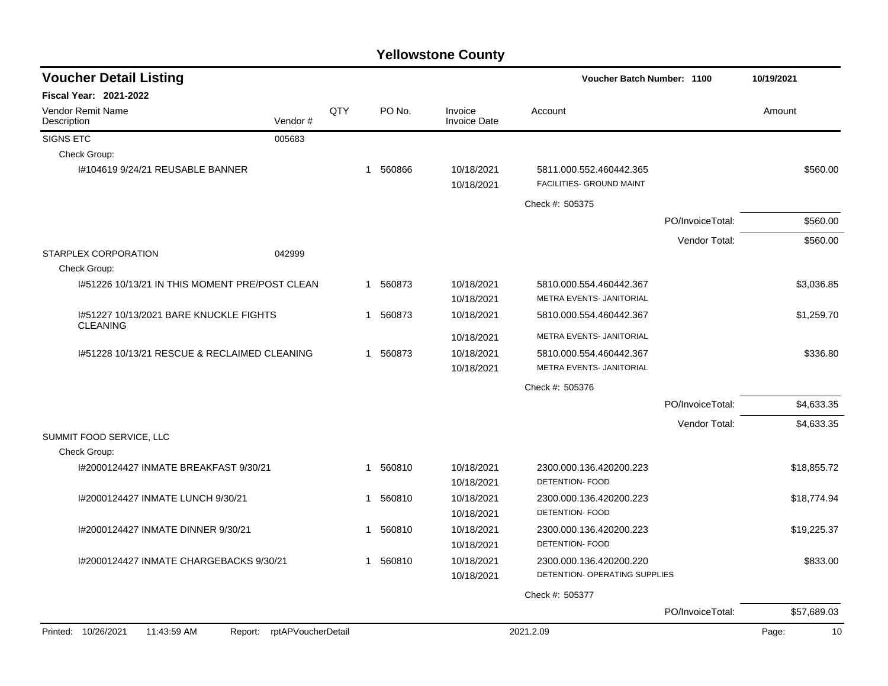| <b>Voucher Detail Listing</b>                             |                            |     |        |                                | Voucher Batch Number: 1100                          |                  | 10/19/2021  |
|-----------------------------------------------------------|----------------------------|-----|--------|--------------------------------|-----------------------------------------------------|------------------|-------------|
| Fiscal Year: 2021-2022                                    |                            |     |        |                                |                                                     |                  |             |
| <b>Vendor Remit Name</b><br>Description                   | Vendor#                    | QTY | PO No. | Invoice<br><b>Invoice Date</b> | Account                                             |                  | Amount      |
| SIGNS ETC                                                 | 005683                     |     |        |                                |                                                     |                  |             |
| Check Group:                                              |                            |     |        |                                |                                                     |                  |             |
| I#104619 9/24/21 REUSABLE BANNER                          |                            | 1   | 560866 | 10/18/2021<br>10/18/2021       | 5811.000.552.460442.365<br>FACILITIES- GROUND MAINT |                  | \$560.00    |
|                                                           |                            |     |        |                                | Check #: 505375                                     |                  |             |
|                                                           |                            |     |        |                                |                                                     | PO/InvoiceTotal: | \$560.00    |
|                                                           |                            |     |        |                                |                                                     | Vendor Total:    | \$560.00    |
| STARPLEX CORPORATION                                      | 042999                     |     |        |                                |                                                     |                  |             |
| Check Group:                                              |                            |     |        |                                |                                                     |                  |             |
| 1#51226 10/13/21 IN THIS MOMENT PRE/POST CLEAN            |                            | 1   | 560873 | 10/18/2021                     | 5810.000.554.460442.367                             |                  | \$3.036.85  |
|                                                           |                            |     |        | 10/18/2021                     | METRA EVENTS- JANITORIAL                            |                  |             |
| 1#51227 10/13/2021 BARE KNUCKLE FIGHTS<br><b>CLEANING</b> |                            | 1   | 560873 | 10/18/2021                     | 5810.000.554.460442.367                             |                  | \$1,259.70  |
|                                                           |                            |     |        | 10/18/2021                     | METRA EVENTS- JANITORIAL                            |                  |             |
| 1#51228 10/13/21 RESCUE & RECLAIMED CLEANING              |                            | 1   | 560873 | 10/18/2021                     | 5810.000.554.460442.367                             |                  | \$336.80    |
|                                                           |                            |     |        | 10/18/2021                     | METRA EVENTS- JANITORIAL                            |                  |             |
|                                                           |                            |     |        |                                | Check #: 505376                                     |                  |             |
|                                                           |                            |     |        |                                |                                                     | PO/InvoiceTotal: | \$4,633.35  |
|                                                           |                            |     |        |                                |                                                     | Vendor Total:    | \$4,633.35  |
| SUMMIT FOOD SERVICE, LLC                                  |                            |     |        |                                |                                                     |                  |             |
| Check Group:                                              |                            |     |        |                                |                                                     |                  |             |
| I#2000124427 INMATE BREAKFAST 9/30/21                     |                            | 1   | 560810 | 10/18/2021                     | 2300.000.136.420200.223                             |                  | \$18,855.72 |
|                                                           |                            |     |        | 10/18/2021                     | DETENTION- FOOD                                     |                  |             |
| I#2000124427 INMATE LUNCH 9/30/21                         |                            | 1   | 560810 | 10/18/2021                     | 2300.000.136.420200.223                             |                  | \$18,774.94 |
|                                                           |                            |     |        | 10/18/2021                     | DETENTION- FOOD                                     |                  |             |
| 1#2000124427 INMATE DINNER 9/30/21                        |                            | 1   | 560810 | 10/18/2021                     | 2300.000.136.420200.223                             |                  | \$19,225.37 |
|                                                           |                            |     |        | 10/18/2021                     | <b>DETENTION- FOOD</b>                              |                  |             |
| 1#2000124427 INMATE CHARGEBACKS 9/30/21                   |                            | 1   | 560810 | 10/18/2021                     | 2300.000.136.420200.220                             |                  | \$833.00    |
|                                                           |                            |     |        | 10/18/2021                     | DETENTION- OPERATING SUPPLIES                       |                  |             |
|                                                           |                            |     |        |                                | Check #: 505377                                     |                  |             |
|                                                           |                            |     |        |                                |                                                     | PO/InvoiceTotal: | \$57,689.03 |
| Printed: 10/26/2021<br>11:43:59 AM                        | Report: rptAPVoucherDetail |     |        |                                | 2021.2.09                                           |                  | 10<br>Page: |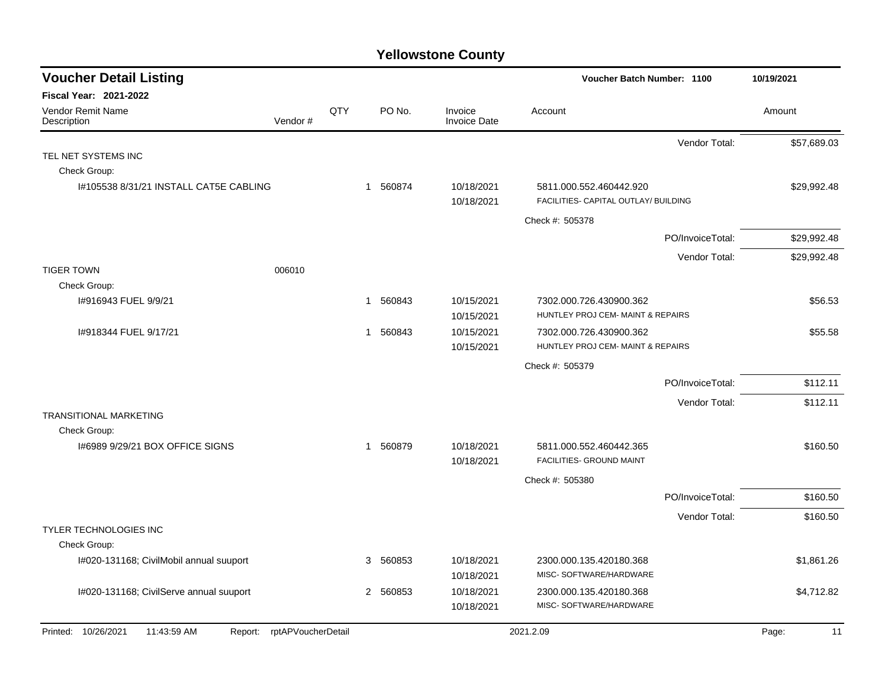| <b>Voucher Detail Listing</b>                                    |     |                          |                                | Voucher Batch Number: 1100                                      | 10/19/2021  |
|------------------------------------------------------------------|-----|--------------------------|--------------------------------|-----------------------------------------------------------------|-------------|
| <b>Fiscal Year: 2021-2022</b>                                    |     |                          |                                |                                                                 |             |
| Vendor Remit Name<br>Vendor#<br>Description                      | QTY | PO No.                   | Invoice<br><b>Invoice Date</b> | Account                                                         | Amount      |
|                                                                  |     |                          |                                | Vendor Total:                                                   | \$57,689.03 |
| TEL NET SYSTEMS INC                                              |     |                          |                                |                                                                 |             |
| Check Group:                                                     |     |                          |                                |                                                                 |             |
| 1#105538 8/31/21 INSTALL CAT5E CABLING                           |     | 1 560874                 | 10/18/2021<br>10/18/2021       | 5811.000.552.460442.920<br>FACILITIES- CAPITAL OUTLAY/ BUILDING | \$29,992.48 |
|                                                                  |     |                          |                                | Check #: 505378                                                 |             |
|                                                                  |     |                          |                                | PO/InvoiceTotal:                                                | \$29,992.48 |
|                                                                  |     |                          |                                | Vendor Total:                                                   | \$29,992.48 |
| <b>TIGER TOWN</b><br>006010                                      |     |                          |                                |                                                                 |             |
| Check Group:                                                     |     |                          |                                |                                                                 |             |
| I#916943 FUEL 9/9/21                                             |     | 560843<br>1              | 10/15/2021                     | 7302.000.726.430900.362                                         | \$56.53     |
|                                                                  |     |                          | 10/15/2021                     | HUNTLEY PROJ CEM- MAINT & REPAIRS                               |             |
| I#918344 FUEL 9/17/21                                            |     | 1 560843                 | 10/15/2021                     | 7302.000.726.430900.362                                         | \$55.58     |
|                                                                  |     |                          | 10/15/2021                     | HUNTLEY PROJ CEM- MAINT & REPAIRS                               |             |
|                                                                  |     |                          |                                | Check #: 505379                                                 |             |
|                                                                  |     |                          |                                | PO/InvoiceTotal:                                                | \$112.11    |
|                                                                  |     |                          |                                | Vendor Total:                                                   | \$112.11    |
| <b>TRANSITIONAL MARKETING</b>                                    |     |                          |                                |                                                                 |             |
| Check Group:                                                     |     |                          |                                |                                                                 |             |
| 1#6989 9/29/21 BOX OFFICE SIGNS                                  |     | 560879<br>1              | 10/18/2021<br>10/18/2021       | 5811.000.552.460442.365<br>FACILITIES- GROUND MAINT             | \$160.50    |
|                                                                  |     |                          |                                | Check #: 505380                                                 |             |
|                                                                  |     |                          |                                | PO/InvoiceTotal:                                                | \$160.50    |
|                                                                  |     |                          |                                |                                                                 |             |
| TYLER TECHNOLOGIES INC                                           |     |                          |                                | Vendor Total:                                                   | \$160.50    |
| Check Group:                                                     |     |                          |                                |                                                                 |             |
| I#020-131168; CivilMobil annual suuport                          |     | 3 560853                 | 10/18/2021                     | 2300.000.135.420180.368                                         | \$1,861.26  |
|                                                                  |     |                          | 10/18/2021                     | MISC- SOFTWARE/HARDWARE                                         |             |
| I#020-131168; CivilServe annual suuport                          |     | 560853<br>$\overline{2}$ | 10/18/2021                     | 2300.000.135.420180.368                                         | \$4,712.82  |
|                                                                  |     |                          | 10/18/2021                     | MISC-SOFTWARE/HARDWARE                                          |             |
| Report: rptAPVoucherDetail<br>Printed: 10/26/2021<br>11:43:59 AM |     |                          |                                | 2021.2.09                                                       | 11<br>Page: |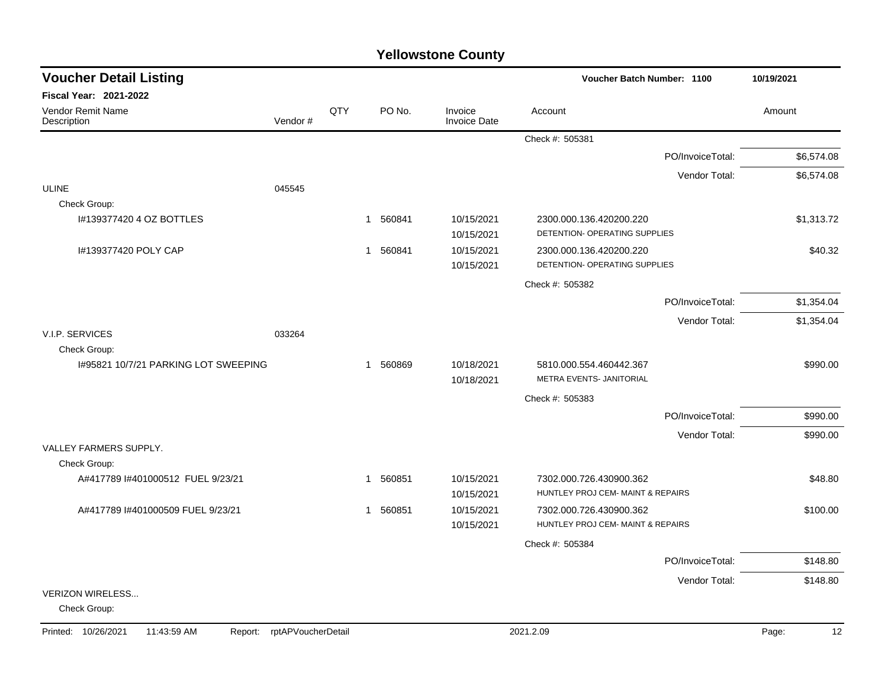| <b>Voucher Detail Listing</b>                     |                    |     |                        |                                | Voucher Batch Number: 1100                                   |                  | 10/19/2021  |
|---------------------------------------------------|--------------------|-----|------------------------|--------------------------------|--------------------------------------------------------------|------------------|-------------|
| <b>Fiscal Year: 2021-2022</b>                     |                    |     |                        |                                |                                                              |                  |             |
| Vendor Remit Name<br>Description                  | Vendor#            | QTY | PO No.                 | Invoice<br><b>Invoice Date</b> | Account                                                      |                  | Amount      |
|                                                   |                    |     |                        |                                | Check #: 505381                                              |                  |             |
|                                                   |                    |     |                        |                                |                                                              | PO/InvoiceTotal: | \$6,574.08  |
|                                                   |                    |     |                        |                                |                                                              | Vendor Total:    | \$6,574.08  |
| <b>ULINE</b>                                      | 045545             |     |                        |                                |                                                              |                  |             |
| Check Group:                                      |                    |     |                        |                                |                                                              |                  |             |
| I#139377420 4 OZ BOTTLES                          |                    |     | 560841<br>$\mathbf{1}$ | 10/15/2021<br>10/15/2021       | 2300.000.136.420200.220<br>DETENTION- OPERATING SUPPLIES     |                  | \$1,313.72  |
| I#139377420 POLY CAP                              |                    |     | 560841<br>$\mathbf{1}$ | 10/15/2021<br>10/15/2021       | 2300.000.136.420200.220<br>DETENTION- OPERATING SUPPLIES     |                  | \$40.32     |
|                                                   |                    |     |                        |                                | Check #: 505382                                              |                  |             |
|                                                   |                    |     |                        |                                |                                                              | PO/InvoiceTotal: | \$1,354.04  |
|                                                   |                    |     |                        |                                |                                                              | Vendor Total:    | \$1,354.04  |
| V.I.P. SERVICES<br>Check Group:                   | 033264             |     |                        |                                |                                                              |                  |             |
| 1#95821 10/7/21 PARKING LOT SWEEPING              |                    |     | 560869<br>$\mathbf{1}$ | 10/18/2021                     | 5810.000.554.460442.367                                      |                  | \$990.00    |
|                                                   |                    |     |                        | 10/18/2021                     | METRA EVENTS- JANITORIAL                                     |                  |             |
|                                                   |                    |     |                        |                                | Check #: 505383                                              |                  |             |
|                                                   |                    |     |                        |                                |                                                              | PO/InvoiceTotal: | \$990.00    |
|                                                   |                    |     |                        |                                |                                                              | Vendor Total:    | \$990.00    |
| VALLEY FARMERS SUPPLY.                            |                    |     |                        |                                |                                                              |                  |             |
| Check Group:<br>A#417789 I#401000512 FUEL 9/23/21 |                    |     | 560851<br>1            | 10/15/2021                     |                                                              |                  | \$48.80     |
|                                                   |                    |     |                        | 10/15/2021                     | 7302.000.726.430900.362<br>HUNTLEY PROJ CEM- MAINT & REPAIRS |                  |             |
| A#417789 I#401000509 FUEL 9/23/21                 |                    |     | 560851<br>1            | 10/15/2021                     | 7302.000.726.430900.362                                      |                  | \$100.00    |
|                                                   |                    |     |                        | 10/15/2021                     | HUNTLEY PROJ CEM- MAINT & REPAIRS                            |                  |             |
|                                                   |                    |     |                        |                                | Check #: 505384                                              |                  |             |
|                                                   |                    |     |                        |                                |                                                              | PO/InvoiceTotal: | \$148.80    |
|                                                   |                    |     |                        |                                |                                                              | Vendor Total:    | \$148.80    |
| VERIZON WIRELESS<br>Check Group:                  |                    |     |                        |                                |                                                              |                  |             |
| Printed: 10/26/2021<br>11:43:59 AM<br>Report:     | rptAPVoucherDetail |     |                        |                                | 2021.2.09                                                    |                  | 12<br>Page: |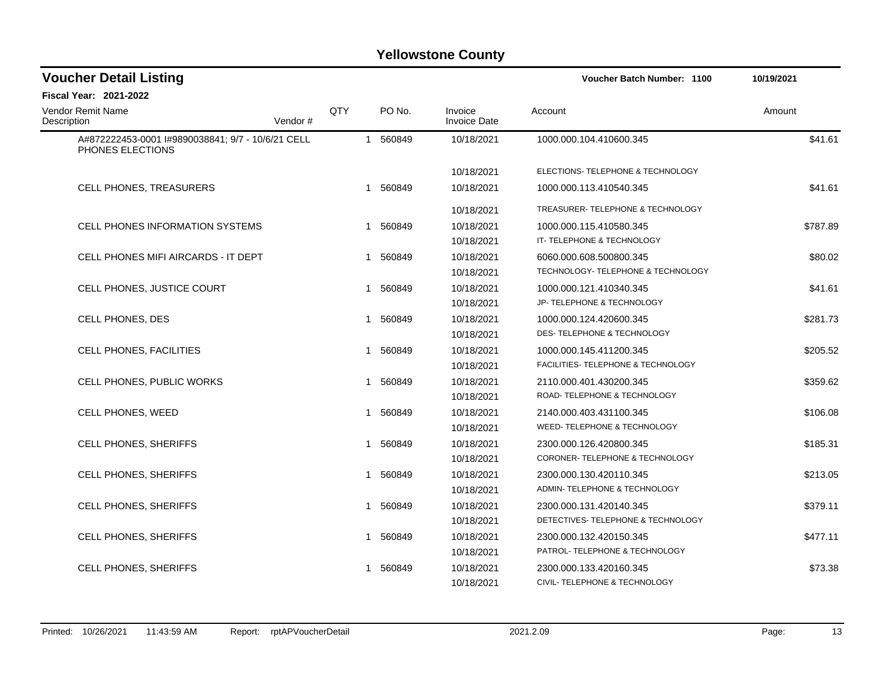| <b>Voucher Detail Listing</b>                                         |         |              |          |                                | <b>Voucher Batch Number: 1100</b>  | 10/19/2021 |
|-----------------------------------------------------------------------|---------|--------------|----------|--------------------------------|------------------------------------|------------|
| <b>Fiscal Year: 2021-2022</b>                                         |         |              |          |                                |                                    |            |
| Vendor Remit Name<br>Description                                      | Vendor# | QTY          | PO No.   | Invoice<br><b>Invoice Date</b> | Account                            | Amount     |
| A#872222453-0001 l#9890038841; 9/7 - 10/6/21 CELL<br>PHONES ELECTIONS |         | $\mathbf{1}$ | 560849   | 10/18/2021                     | 1000.000.104.410600.345            | \$41.61    |
|                                                                       |         |              |          | 10/18/2021                     | ELECTIONS- TELEPHONE & TECHNOLOGY  |            |
| CELL PHONES, TREASURERS                                               |         |              | 1 560849 | 10/18/2021                     | 1000.000.113.410540.345            | \$41.61    |
|                                                                       |         |              |          | 10/18/2021                     | TREASURER-TELEPHONE & TECHNOLOGY   |            |
| <b>CELL PHONES INFORMATION SYSTEMS</b>                                |         |              | 1 560849 | 10/18/2021                     | 1000.000.115.410580.345            | \$787.89   |
|                                                                       |         |              |          | 10/18/2021                     | IT- TELEPHONE & TECHNOLOGY         |            |
| CELL PHONES MIFI AIRCARDS - IT DEPT                                   |         |              | 1 560849 | 10/18/2021                     | 6060.000.608.500800.345            | \$80.02    |
|                                                                       |         |              |          | 10/18/2021                     | TECHNOLOGY- TELEPHONE & TECHNOLOGY |            |
| CELL PHONES, JUSTICE COURT                                            |         |              | 1 560849 | 10/18/2021                     | 1000.000.121.410340.345            | \$41.61    |
|                                                                       |         |              |          | 10/18/2021                     | JP- TELEPHONE & TECHNOLOGY         |            |
| CELL PHONES, DES                                                      |         | -1           | 560849   | 10/18/2021                     | 1000.000.124.420600.345            | \$281.73   |
|                                                                       |         |              |          | 10/18/2021                     | DES- TELEPHONE & TECHNOLOGY        |            |
| CELL PHONES, FACILITIES                                               |         |              | 1 560849 | 10/18/2021                     | 1000.000.145.411200.345            | \$205.52   |
|                                                                       |         |              |          | 10/18/2021                     | FACILITIES- TELEPHONE & TECHNOLOGY |            |
| CELL PHONES, PUBLIC WORKS                                             |         | -1           | 560849   | 10/18/2021                     | 2110.000.401.430200.345            | \$359.62   |
|                                                                       |         |              |          | 10/18/2021                     | ROAD-TELEPHONE & TECHNOLOGY        |            |
| CELL PHONES, WEED                                                     |         | $\mathbf 1$  | 560849   | 10/18/2021                     | 2140.000.403.431100.345            | \$106.08   |
|                                                                       |         |              |          | 10/18/2021                     | WEED- TELEPHONE & TECHNOLOGY       |            |
| CELL PHONES, SHERIFFS                                                 |         | -1           | 560849   | 10/18/2021                     | 2300.000.126.420800.345            | \$185.31   |
|                                                                       |         |              |          | 10/18/2021                     | CORONER- TELEPHONE & TECHNOLOGY    |            |
| CELL PHONES, SHERIFFS                                                 |         |              | 1 560849 | 10/18/2021                     | 2300.000.130.420110.345            | \$213.05   |
|                                                                       |         |              |          | 10/18/2021                     | ADMIN-TELEPHONE & TECHNOLOGY       |            |
| <b>CELL PHONES, SHERIFFS</b>                                          |         | -1           | 560849   | 10/18/2021                     | 2300.000.131.420140.345            | \$379.11   |
|                                                                       |         |              |          | 10/18/2021                     | DETECTIVES- TELEPHONE & TECHNOLOGY |            |
| CELL PHONES, SHERIFFS                                                 |         | 1            | 560849   | 10/18/2021                     | 2300.000.132.420150.345            | \$477.11   |
|                                                                       |         |              |          | 10/18/2021                     | PATROL-TELEPHONE & TECHNOLOGY      |            |
| CELL PHONES, SHERIFFS                                                 |         |              | 560849   | 10/18/2021                     | 2300.000.133.420160.345            | \$73.38    |
|                                                                       |         |              |          | 10/18/2021                     | CIVIL- TELEPHONE & TECHNOLOGY      |            |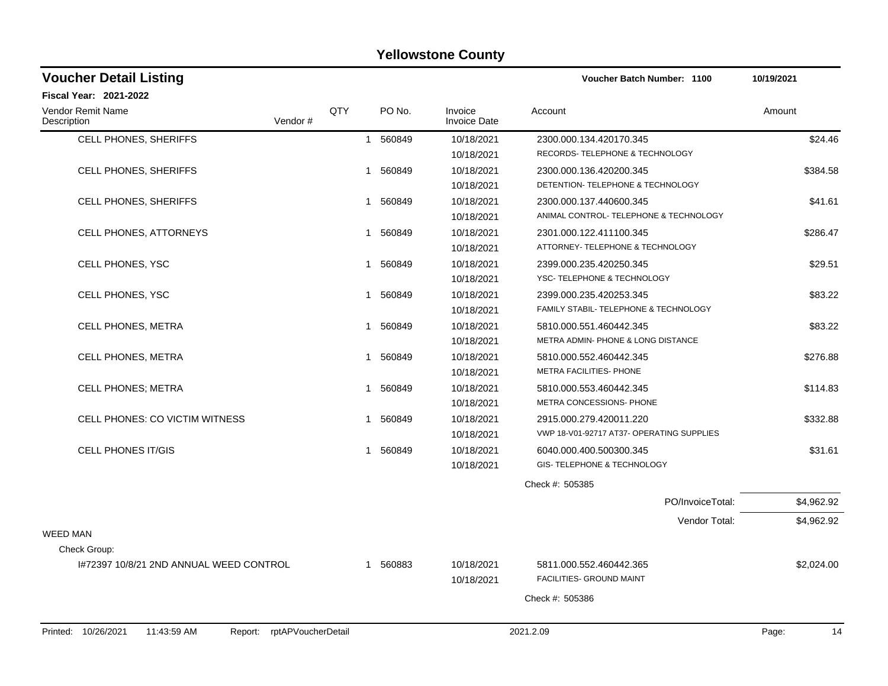| <b>Voucher Detail Listing</b>                 |                    |              |          |                                | Voucher Batch Number: 1100                | 10/19/2021  |
|-----------------------------------------------|--------------------|--------------|----------|--------------------------------|-------------------------------------------|-------------|
| Fiscal Year: 2021-2022                        |                    |              |          |                                |                                           |             |
| Vendor Remit Name<br>Description              | Vendor#            | QTY          | PO No.   | Invoice<br><b>Invoice Date</b> | Account                                   | Amount      |
| CELL PHONES, SHERIFFS                         |                    | $\mathbf{1}$ | 560849   | 10/18/2021                     | 2300.000.134.420170.345                   | \$24.46     |
|                                               |                    |              |          | 10/18/2021                     | RECORDS- TELEPHONE & TECHNOLOGY           |             |
| <b>CELL PHONES, SHERIFFS</b>                  |                    | $\mathbf 1$  | 560849   | 10/18/2021                     | 2300.000.136.420200.345                   | \$384.58    |
|                                               |                    |              |          | 10/18/2021                     | DETENTION- TELEPHONE & TECHNOLOGY         |             |
| <b>CELL PHONES, SHERIFFS</b>                  |                    |              | 1 560849 | 10/18/2021                     | 2300.000.137.440600.345                   | \$41.61     |
|                                               |                    |              |          | 10/18/2021                     | ANIMAL CONTROL- TELEPHONE & TECHNOLOGY    |             |
| <b>CELL PHONES, ATTORNEYS</b>                 |                    | $\mathbf{1}$ | 560849   | 10/18/2021                     | 2301.000.122.411100.345                   | \$286.47    |
|                                               |                    |              |          | 10/18/2021                     | ATTORNEY- TELEPHONE & TECHNOLOGY          |             |
| CELL PHONES, YSC                              |                    |              | 1 560849 | 10/18/2021                     | 2399.000.235.420250.345                   | \$29.51     |
|                                               |                    |              |          | 10/18/2021                     | YSC- TELEPHONE & TECHNOLOGY               |             |
| CELL PHONES, YSC                              |                    | 1            | 560849   | 10/18/2021                     | 2399.000.235.420253.345                   | \$83.22     |
|                                               |                    |              |          | 10/18/2021                     | FAMILY STABIL- TELEPHONE & TECHNOLOGY     |             |
| <b>CELL PHONES, METRA</b>                     |                    | $\mathbf{1}$ | 560849   | 10/18/2021                     | 5810.000.551.460442.345                   | \$83.22     |
|                                               |                    |              |          | 10/18/2021                     | METRA ADMIN- PHONE & LONG DISTANCE        |             |
| <b>CELL PHONES, METRA</b>                     |                    | 1            | 560849   | 10/18/2021                     | 5810.000.552.460442.345                   | \$276.88    |
|                                               |                    |              |          | 10/18/2021                     | METRA FACILITIES- PHONE                   |             |
| <b>CELL PHONES; METRA</b>                     |                    | 1            | 560849   | 10/18/2021                     | 5810.000.553.460442.345                   | \$114.83    |
|                                               |                    |              |          | 10/18/2021                     | METRA CONCESSIONS- PHONE                  |             |
| CELL PHONES: CO VICTIM WITNESS                |                    | 1            | 560849   | 10/18/2021                     | 2915.000.279.420011.220                   | \$332.88    |
|                                               |                    |              |          | 10/18/2021                     | VWP 18-V01-92717 AT37- OPERATING SUPPLIES |             |
| <b>CELL PHONES IT/GIS</b>                     |                    | $\mathbf{1}$ | 560849   | 10/18/2021                     | 6040.000.400.500300.345                   | \$31.61     |
|                                               |                    |              |          | 10/18/2021                     | GIS- TELEPHONE & TECHNOLOGY               |             |
|                                               |                    |              |          |                                | Check #: 505385                           |             |
|                                               |                    |              |          |                                | PO/InvoiceTotal:                          | \$4,962.92  |
|                                               |                    |              |          |                                | Vendor Total:                             | \$4,962.92  |
| <b>WEED MAN</b>                               |                    |              |          |                                |                                           |             |
| Check Group:                                  |                    |              |          |                                |                                           |             |
| I#72397 10/8/21 2ND ANNUAL WEED CONTROL       |                    |              | 1 560883 | 10/18/2021                     | 5811.000.552.460442.365                   | \$2,024.00  |
|                                               |                    |              |          | 10/18/2021                     | FACILITIES- GROUND MAINT                  |             |
|                                               |                    |              |          |                                | Check #: 505386                           |             |
|                                               |                    |              |          |                                |                                           |             |
| Printed: 10/26/2021<br>11:43:59 AM<br>Report: | rptAPVoucherDetail |              |          |                                | 2021.2.09                                 | Page:<br>14 |